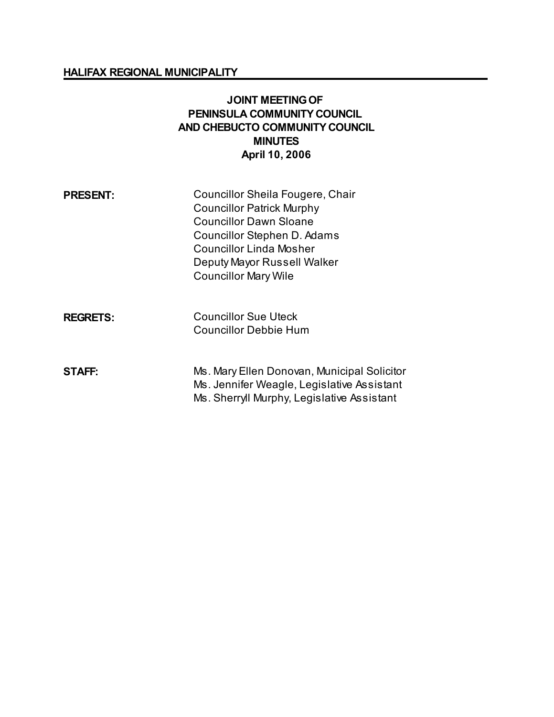#### **HALIFAX REGIONAL MUNICIPALITY**

### **JOINT MEETING OF PENINSULA COMMUNITY COUNCIL AND CHEBUCTO COMMUNITY COUNCIL MINUTES April 10, 2006**

| <b>PRESENT:</b> | Councillor Sheila Fougere, Chair |
|-----------------|----------------------------------|
|                 | <b>Councillor Patrick Murphy</b> |
|                 | <b>Councillor Dawn Sloane</b>    |
|                 | Councillor Stephen D. Adams      |
|                 | <b>Councillor Linda Mosher</b>   |
|                 | Deputy Mayor Russell Walker      |
|                 | <b>Councillor Mary Wile</b>      |
|                 |                                  |
| <b>REGRETS:</b> | Councillor Sue Uteck             |
|                 | <b>Councillor Debbie Hum</b>     |
|                 |                                  |

**STAFF:** Ms. Mary Ellen Donovan, Municipal Solicitor Ms. Jennifer Weagle, Legislative Assistant Ms. Sherryll Murphy, Legislative Assistant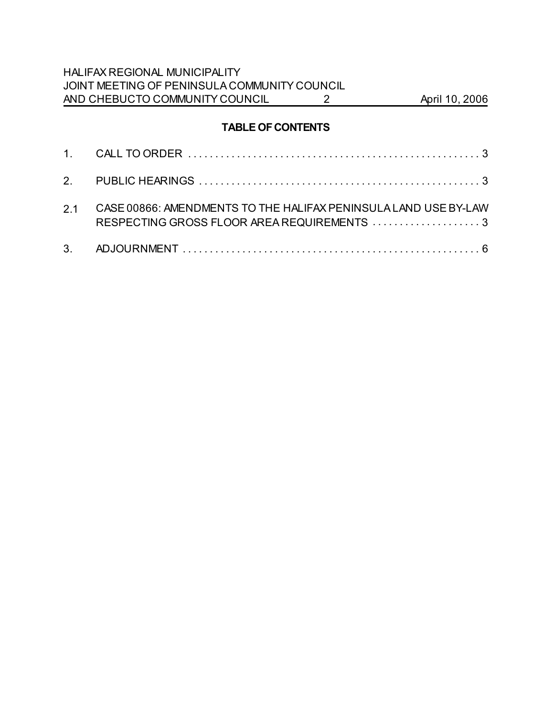HALIFAX REGIONAL MUNICIPALITY JOINT MEETING OF PENINSULA COMMUNITY COUNCIL AND CHEBUCTO COMMUNITY COUNCIL 2 April 10, 2006

# **TABLE OF CONTENTS**

| 2.1 CASE 00866: AMENDMENTS TO THE HALIFAX PENINSULA LAND USE BY-LAW |
|---------------------------------------------------------------------|
|                                                                     |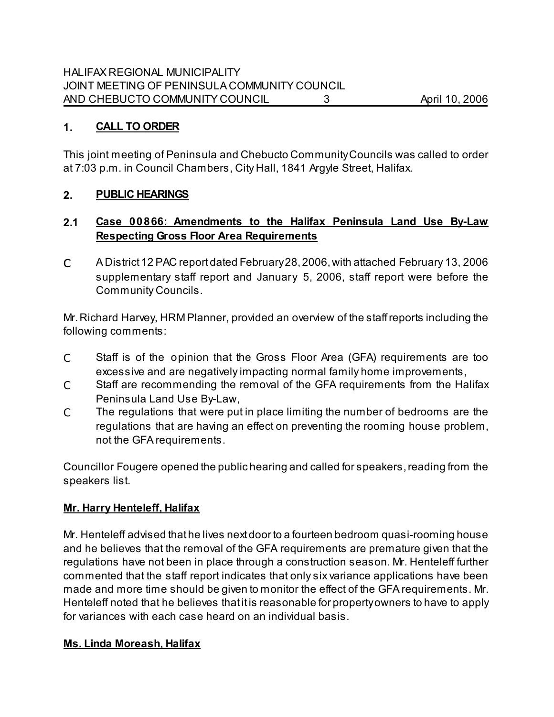### **1. CALL TO ORDER**

This joint meeting of Peninsula and Chebucto Community Councils was called to order at 7:03 p.m. in Council Chambers, City Hall, 1841 Argyle Street, Halifax.

### **2. PUBLIC HEARINGS**

# **2.1 Case 00866: Amendments to the Halifax Peninsula Land Use By-Law Respecting Gross Floor Area Requirements**

C A District 12 PAC report dated February 28, 2006, with attached February 13, 2006 supplementary staff report and January 5, 2006, staff report were before the Community Councils.

Mr. Richard Harvey, HRM Planner, provided an overview of the staff reports including the following comments:

- C Staff is of the opinion that the Gross Floor Area (GFA) requirements are too excessive and are negatively impacting normal family home improvements,
- C Staff are recommending the removal of the GFA requirements from the Halifax Peninsula Land Use By-Law,
- C The regulations that were put in place limiting the number of bedrooms are the regulations that are having an effect on preventing the rooming house problem, not the GFA requirements.

Councillor Fougere opened the public hearing and called for speakers, reading from the speakers list.

### **Mr. Harry Henteleff, Halifax**

Mr. Henteleff advised that he lives next door to a fourteen bedroom quasi-rooming house and he believes that the removal of the GFA requirements are premature given that the regulations have not been in place through a construction season. Mr. Henteleff further commented that the staff report indicates that only six variance applications have been made and more time should be given to monitor the effect of the GFA requirements. Mr. Henteleff noted that he believes that it is reasonable for property owners to have to apply for variances with each case heard on an individual basis.

#### **Ms. Linda Moreash, Halifax**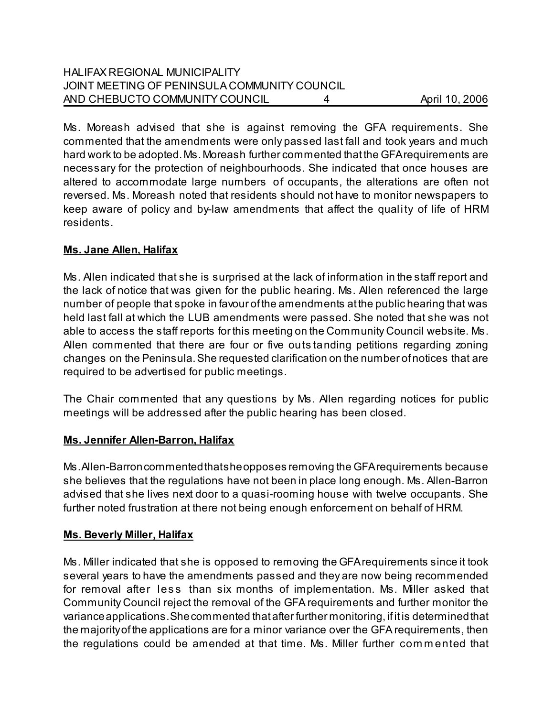## HALIFAX REGIONAL MUNICIPALITY JOINT MEETING OF PENINSULA COMMUNITY COUNCIL AND CHEBUCTO COMMUNITY COUNCIL 4 April 10, 2006

Ms. Moreash advised that she is against removing the GFA requirements. She commented that the amendments were only passed last fall and took years and much hard work to be adopted. Ms. Moreash further commented that the GFA requirements are necessary for the protection of neighbourhoods. She indicated that once houses are altered to accommodate large numbers of occupants, the alterations are often not reversed. Ms. Moreash noted that residents should not have to monitor newspapers to keep aware of policy and by-law amendments that affect the quality of life of HRM residents.

#### **Ms. Jane Allen, Halifax**

Ms. Allen indicated that she is surprised at the lack of information in the staff report and the lack of notice that was given for the public hearing. Ms. Allen referenced the large number of people that spoke in favour of the amendments at the public hearing that was held last fall at which the LUB amendments were passed. She noted that she was not able to access the staff reports for this meeting on the Community Council website. Ms. Allen commented that there are four or five outs tanding petitions regarding zoning changes on the Peninsula. She requested clarification on the number of notices that are required to be advertised for public meetings.

The Chair commented that any questions by Ms. Allen regarding notices for public meetings will be addressed after the public hearing has been closed.

#### **Ms. Jennifer Allen-Barron, Halifax**

Ms. Allen-Barron commented that she opposes removing the GFA requirements because she believes that the regulations have not been in place long enough. Ms. Allen-Barron advised that she lives next door to a quasi-rooming house with twelve occupants. She further noted frustration at there not being enough enforcement on behalf of HRM.

### **Ms. Beverly Miller, Halifax**

Ms. Miller indicated that she is opposed to removing the GFA requirements since it took several years to have the amendments passed and they are now being recommended for removal after less than six months of implementation. Ms. Miller asked that Community Council reject the removal of the GFA requirements and further monitor the variance applications. She commented that after further monitoring, if it is determined that the majority of the applications are for a minor variance over the GFA requirements, then the regulations could be amended at that time. Ms. Miller further com m ented that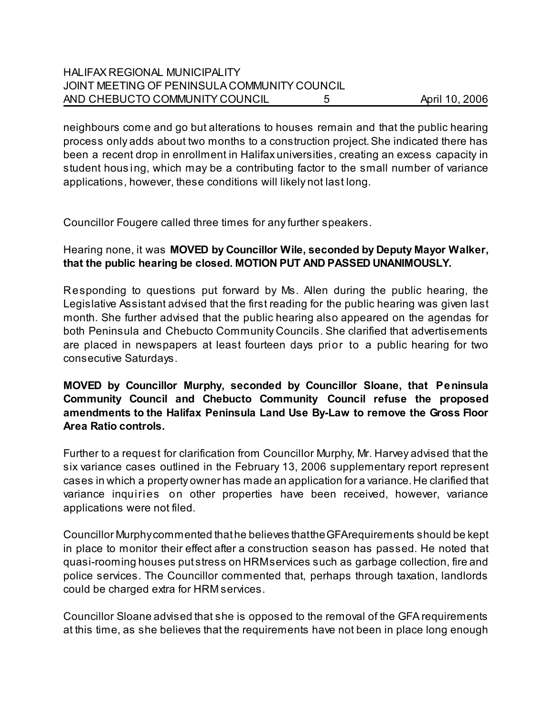## HALIFAX REGIONAL MUNICIPALITY JOINT MEETING OF PENINSULA COMMUNITY COUNCIL AND CHEBUCTO COMMUNITY COUNCIL 5 April 10, 2006

neighbours come and go but alterations to houses remain and that the public hearing process only adds about two months to a construction project. She indicated there has been a recent drop in enrollment in Halifax universities, creating an excess capacity in student hous ing, which may be a contributing factor to the small number of variance applications, however, these conditions will likely not last long.

Councillor Fougere called three times for any further speakers.

## Hearing none, it was **MOVED by Councillor Wile, seconded by Deputy Mayor Walker, that the public hearing be closed. MOTION PUT AND PASSED UNANIMOUSLY.**

Responding to questions put forward by Ms. Allen during the public hearing, the Legislative Assistant advised that the first reading for the public hearing was given last month. She further advised that the public hearing also appeared on the agendas for both Peninsula and Chebucto Community Councils. She clarified that advertisements are placed in newspapers at least fourteen days prior to a public hearing for two consecutive Saturdays.

**MOVED by Councillor Murphy, seconded by Councillor Sloane, that Peninsula Community Council and Chebucto Community Council refuse the proposed amendments to the Halifax Peninsula Land Use By-Law to remove the Gross Floor Area Ratio controls.** 

Further to a request for clarification from Councillor Murphy, Mr. Harvey advised that the six variance cases outlined in the February 13, 2006 supplementary report represent cases in which a property owner has made an application for a variance. He clarified that variance inquiries on other properties have been received, however, variance applications were not filed.

Councillor Murphy commented that he believes that the GFA requirements should be kept in place to monitor their effect after a construction season has passed. He noted that quasi-rooming houses put stress on HRM services such as garbage collection, fire and police services. The Councillor commented that, perhaps through taxation, landlords could be charged extra for HRM services.

Councillor Sloane advised that she is opposed to the removal of the GFA requirements at this time, as she believes that the requirements have not been in place long enough